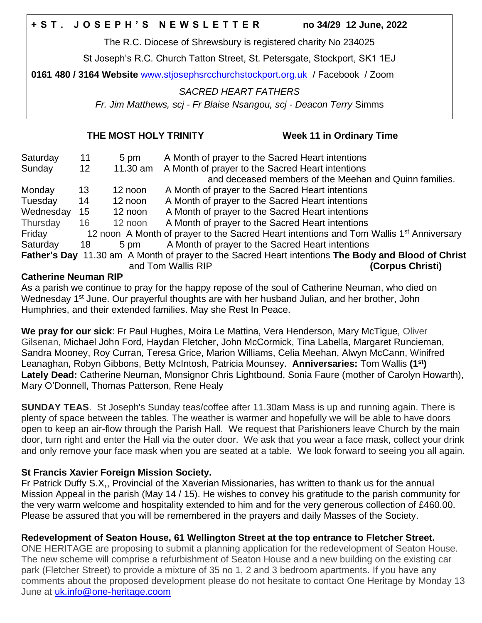The R.C. Diocese of Shrewsbury is registered charity No 234025

St Joseph's R.C. Church Tatton Street, St. Petersgate, Stockport, SK1 1EJ

**0161 480 / 3164 Website** [www.stjosephsrcchurchstockport.org.uk](http://www.stjosephsrcchurchstockport.org.uk/) / Facebook / Zoom

## *SACRED HEART FATHERS*

*Fr. Jim Matthews, scj - Fr Blaise Nsangou, scj - Deacon Terry* Simms

## **THE MOST HOLY TRINITY Week 11 in Ordinary Time**

| Saturday  | 11 | 5 pm     | A Month of prayer to the Sacred Heart intentions                                                    |
|-----------|----|----------|-----------------------------------------------------------------------------------------------------|
| Sunday    | 12 | 11.30 am | A Month of prayer to the Sacred Heart intentions                                                    |
|           |    |          | and deceased members of the Meehan and Quinn families.                                              |
| Monday    | 13 | 12 noon  | A Month of prayer to the Sacred Heart intentions                                                    |
| Tuesday   | 14 | 12 noon  | A Month of prayer to the Sacred Heart intentions                                                    |
| Wednesday | 15 | 12 noon  | A Month of prayer to the Sacred Heart intentions                                                    |
| Thursday  | 16 | 12 noon  | A Month of prayer to the Sacred Heart intentions                                                    |
| Friday    |    |          | 12 noon A Month of prayer to the Sacred Heart intentions and Tom Wallis 1 <sup>st</sup> Anniversary |
| Saturday  | 18 | 5 pm     | A Month of prayer to the Sacred Heart intentions                                                    |
|           |    |          | Father's Day 11.30 am A Month of prayer to the Sacred Heart intentions The Body and Blood of Christ |
|           |    |          | (Corpus Christi)<br>and Tom Wallis RIP                                                              |

## **Catherine Neuman RIP**

As a parish we continue to pray for the happy repose of the soul of Catherine Neuman, who died on Wednesday 1<sup>st</sup> June. Our prayerful thoughts are with her husband Julian, and her brother, John Humphries, and their extended families. May she Rest In Peace.

**We pray for our sick**: Fr Paul Hughes, Moira Le Mattina, Vera Henderson, Mary McTigue, Oliver Gilsenan, Michael John Ford, Haydan Fletcher, John McCormick, Tina Labella, Margaret Runcieman, Sandra Mooney, Roy Curran, Teresa Grice, Marion Williams, Celia Meehan, Alwyn McCann, Winifred Leanaghan, Robyn Gibbons, Betty McIntosh, Patricia Mounsey. **Anniversaries:** Tom Wallis **(1st) Lately Dead:** Catherine Neuman, Monsignor Chris Lightbound, Sonia Faure (mother of Carolyn Howarth), Mary O'Donnell, Thomas Patterson, Rene Healy

**SUNDAY TEAS**. St Joseph's Sunday teas/coffee after 11.30am Mass is up and running again. There is plenty of space between the tables. The weather is warmer and hopefully we will be able to have doors open to keep an air-flow through the Parish Hall. We request that Parishioners leave Church by the main door, turn right and enter the Hall via the outer door. We ask that you wear a face mask, collect your drink and only remove your face mask when you are seated at a table. We look forward to seeing you all again.

# **St Francis Xavier Foreign Mission Society.**

Fr Patrick Duffy S.X,, Provincial of the Xaverian Missionaries, has written to thank us for the annual Mission Appeal in the parish (May 14 / 15). He wishes to convey his gratitude to the parish community for the very warm welcome and hospitality extended to him and for the very generous collection of £460.00. Please be assured that you will be remembered in the prayers and daily Masses of the Society.

# **Redevelopment of Seaton House, 61 Wellington Street at the top entrance to Fletcher Street.**

ONE HERITAGE are proposing to submit a planning application for the redevelopment of Seaton House. The new scheme will comprise a refurbishment of Seaton House and a new building on the existing car park (Fletcher Street) to provide a mixture of 35 no 1, 2 and 3 bedroom apartments. If you have any comments about the proposed development please do not hesitate to contact One Heritage by Monday 13 June at [uk.info@one-heritage.coom](mailto:uk.info@one-heritage.coom)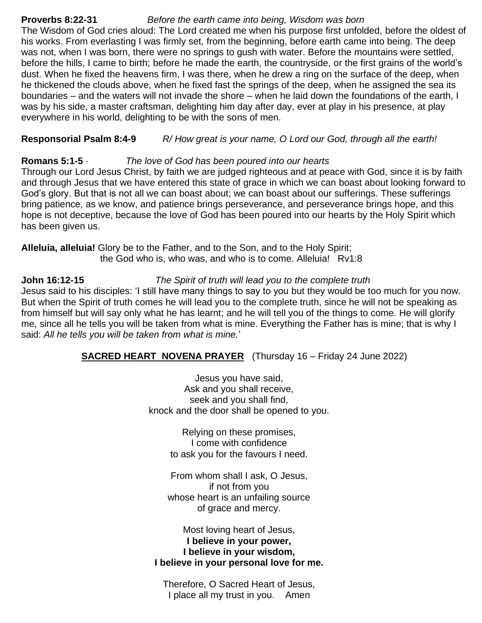# **Proverbs 8:22-31** *Before the earth came into being, Wisdom was born*

The Wisdom of God cries aloud: The Lord created me when his purpose first unfolded, before the oldest of his works. From everlasting I was firmly set, from the beginning, before earth came into being. The deep was not, when I was born, there were no springs to gush with water. Before the mountains were settled, before the hills, I came to birth; before he made the earth, the countryside, or the first grains of the world's dust. When he fixed the heavens firm, I was there, when he drew a ring on the surface of the deep, when he thickened the clouds above, when he fixed fast the springs of the deep, when he assigned the sea its boundaries – and the waters will not invade the shore – when he laid down the foundations of the earth, I was by his side, a master craftsman, delighting him day after day, ever at play in his presence, at play everywhere in his world, delighting to be with the sons of men.

**Responsorial Psalm 8:4-9** *R/ How great is your name, O Lord our God, through all the earth!*

#### **Romans 5:1-5** · *The love of God has been poured into our hearts*

Through our Lord Jesus Christ, by faith we are judged righteous and at peace with God, since it is by faith and through Jesus that we have entered this state of grace in which we can boast about looking forward to God's glory. But that is not all we can boast about; we can boast about our sufferings. These sufferings bring patience, as we know, and patience brings perseverance, and perseverance brings hope, and this hope is not deceptive, because the love of God has been poured into our hearts by the Holy Spirit which has been given us.

**Alleluia, alleluia!** Glory be to the Father, and to the Son, and to the Holy Spirit; the God who is, who was, and who is to come. Alleluia! Rv1:8

**John 16:12-15** *The Spirit of truth will lead you to the complete truth*

Jesus said to his disciples: 'I still have many things to say to you but they would be too much for you now. But when the Spirit of truth comes he will lead you to the complete truth, since he will not be speaking as from himself but will say only what he has learnt; and he will tell you of the things to come. He will glorify me, since all he tells you will be taken from what is mine. Everything the Father has is mine; that is why I said: *All he tells you will be taken from what is mine.*'

# **SACRED HEART NOVENA PRAYER** (Thursday 16 – Friday 24 June 2022)

Jesus you have said, Ask and you shall receive, seek and you shall find, knock and the door shall be opened to you.

> Relying on these promises, I come with confidence to ask you for the favours I need.

From whom shall I ask, O Jesus, if not from you whose heart is an unfailing source of grace and mercy.

Most loving heart of Jesus, **I believe in your power, I believe in your wisdom, I believe in your personal love for me.**

Therefore, O Sacred Heart of Jesus, I place all my trust in you. Amen